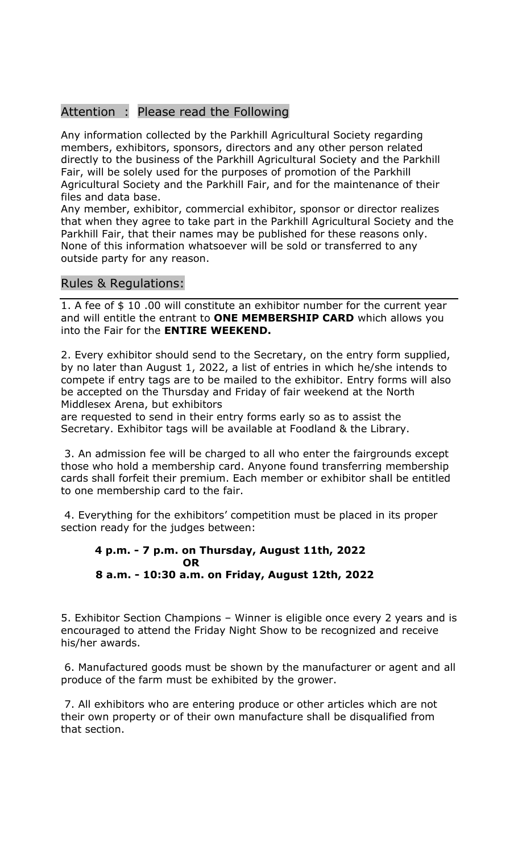## Attention : Please read the Following

Any information collected by the Parkhill Agricultural Society regarding members, exhibitors, sponsors, directors and any other person related directly to the business of the Parkhill Agricultural Society and the Parkhill Fair, will be solely used for the purposes of promotion of the Parkhill Agricultural Society and the Parkhill Fair, and for the maintenance of their files and data base.

Any member, exhibitor, commercial exhibitor, sponsor or director realizes that when they agree to take part in the Parkhill Agricultural Society and the Parkhill Fair, that their names may be published for these reasons only. None of this information whatsoever will be sold or transferred to any outside party for any reason.

## Rules & Regulations:

1. A fee of \$ 10 .00 will constitute an exhibitor number for the current year and will entitle the entrant to **ONE MEMBERSHIP CARD** which allows you into the Fair for the **ENTIRE WEEKEND.**

2. Every exhibitor should send to the Secretary, on the entry form supplied, by no later than August 1, 2022, a list of entries in which he/she intends to compete if entry tags are to be mailed to the exhibitor. Entry forms will also be accepted on the Thursday and Friday of fair weekend at the North Middlesex Arena, but exhibitors

are requested to send in their entry forms early so as to assist the Secretary. Exhibitor tags will be available at Foodland & the Library.

3. An admission fee will be charged to all who enter the fairgrounds except those who hold a membership card. Anyone found transferring membership cards shall forfeit their premium. Each member or exhibitor shall be entitled to one membership card to the fair.

4. Everything for the exhibitors' competition must be placed in its proper section ready for the judges between:

## **4 p.m. - 7 p.m. on Thursday, August 11th, 2022 OR 8 a.m. - 10:30 a.m. on Friday, August 12th, 2022**

5. Exhibitor Section Champions – Winner is eligible once every 2 years and is encouraged to attend the Friday Night Show to be recognized and receive his/her awards.

6. Manufactured goods must be shown by the manufacturer or agent and all produce of the farm must be exhibited by the grower.

7. All exhibitors who are entering produce or other articles which are not their own property or of their own manufacture shall be disqualified from that section.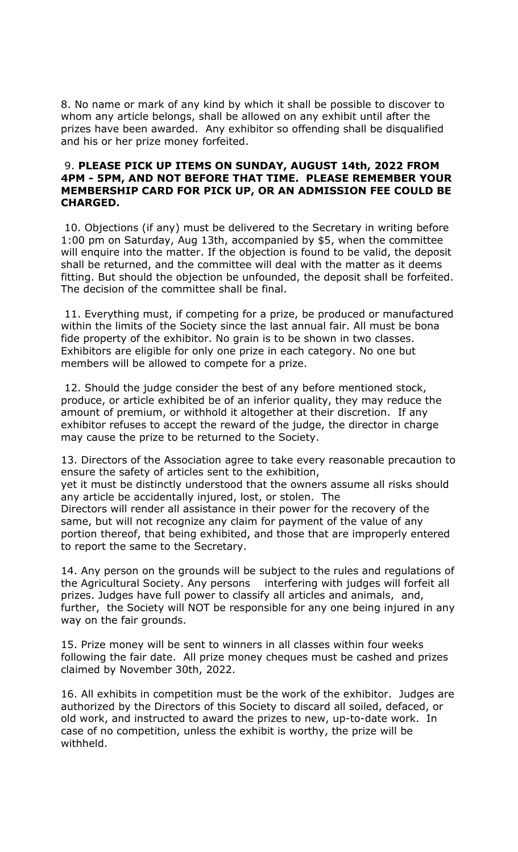8. No name or mark of any kind by which it shall be possible to discover to whom any article belongs, shall be allowed on any exhibit until after the prizes have been awarded. Any exhibitor so offending shall be disqualified and his or her prize money forfeited.

## 9. **PLEASE PICK UP ITEMS ON SUNDAY, AUGUST 14th, 2022 FROM 4PM - 5PM, AND NOT BEFORE THAT TIME. PLEASE REMEMBER YOUR MEMBERSHIP CARD FOR PICK UP, OR AN ADMISSION FEE COULD BE CHARGED.**

10. Objections (if any) must be delivered to the Secretary in writing before 1:00 pm on Saturday, Aug 13th, accompanied by \$5, when the committee will enquire into the matter. If the objection is found to be valid, the deposit shall be returned, and the committee will deal with the matter as it deems fitting. But should the objection be unfounded, the deposit shall be forfeited. The decision of the committee shall be final.

11. Everything must, if competing for a prize, be produced or manufactured within the limits of the Society since the last annual fair. All must be bona fide property of the exhibitor. No grain is to be shown in two classes. Exhibitors are eligible for only one prize in each category. No one but members will be allowed to compete for a prize.

12. Should the judge consider the best of any before mentioned stock, produce, or article exhibited be of an inferior quality, they may reduce the amount of premium, or withhold it altogether at their discretion. If any exhibitor refuses to accept the reward of the judge, the director in charge may cause the prize to be returned to the Society.

13. Directors of the Association agree to take every reasonable precaution to ensure the safety of articles sent to the exhibition, yet it must be distinctly understood that the owners assume all risks should any article be accidentally injured, lost, or stolen. The Directors will render all assistance in their power for the recovery of the same, but will not recognize any claim for payment of the value of any portion thereof, that being exhibited, and those that are improperly entered

14. Any person on the grounds will be subject to the rules and regulations of the Agricultural Society. Any persons interfering with judges will forfeit all prizes. Judges have full power to classify all articles and animals, and, further, the Society will NOT be responsible for any one being injured in any way on the fair grounds.

to report the same to the Secretary.

15. Prize money will be sent to winners in all classes within four weeks following the fair date. All prize money cheques must be cashed and prizes claimed by November 30th, 2022.

16. All exhibits in competition must be the work of the exhibitor. Judges are authorized by the Directors of this Society to discard all soiled, defaced, or old work, and instructed to award the prizes to new, up-to-date work. In case of no competition, unless the exhibit is worthy, the prize will be withheld.